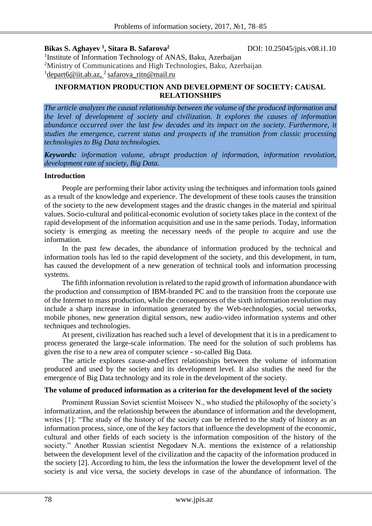# **Bikas S. Aghayev <sup>1</sup> , Sitara B. Safarova<sup>2</sup>**

DOI: 10.25045/jpis.v08.i1.10

<sup>1</sup>Institute of Information Technology of ANAS, Baku, Azerbaijan <sup>2</sup>Ministry of Communications and High Technologies, Baku, Azerbaijan <sup>1</sup> [depart6@iit.ab.az,](mailto:depart6@iit.ab.az) <sup>2</sup> [safarova\\_ritn@mail.ru](mailto:safarova_ritn@mail.ru)

# **INFORMATION PRODUCTION AND DEVELOPMENT OF SOCIETY: CAUSAL RELATIONSHIPS**

*The article analyzes the causal relationship between the volume of the produced information and the level of development of society and civilization. It explores the causes of information abundance occurred over the last few decades and its impact on the society. Furthermore, it studies the emergence, current status and prospects of the transition from classic processing technologies to Big Data technologies.*

*Keywords: information volume, abrupt production of information, information revolution, development rate of society, Big Data.*

## **Introduction**

People are performing their labor activity using the techniques and information tools gained as a result of the knowledge and experience. The development of these tools causes the transition of the society to the new development stages and the drastic changes in the material and spiritual values. Socio-cultural and political-economic evolution of society takes place in the context of the rapid development of the information acquisition and use in the same periods. Today, information society is emerging as meeting the necessary needs of the people to acquire and use the information.

In the past few decades, the abundance of information produced by the technical and information tools has led to the rapid development of the society, and this development, in turn, has caused the development of a new generation of technical tools and information processing systems.

The fifth information revolution is related to the rapid growth of information abundance with the production and consumption of IBM-branded PC and to the transition from the corporate use of the Internet to mass production, while the consequences of the sixth information revolution may include a sharp increase in information generated by the Web-technologies, social networks, mobile phones, new generation digital sensors, new audio-video information systems and other techniques and technologies.

At present, civilization has reached such a level of development that it is in a predicament to process generated the large-scale information. The need for the solution of such problems has given the rise to a new area of computer science - so-called Big Data.

The article explores cause-and-effect relationships between the volume of information produced and used by the society and its development level. It also studies the need for the emergence of Big Data technology and its role in the development of the society.

## **The volume of produced information as a criterion for the development level of the society**

Prominent Russian Soviet scientist Moiseev N., who studied the philosophy of the society's informatization, and the relationship between the abundance of information and the development, writes [1]: "The study of the history of the society can be referred to the study of history as an information process, since, one of the key factors that influence the development of the economic, cultural and other fields of each society is the information composition of the history of the society." Another Russian scientist Negodaev N.A. mentions the existence of a relationship between the development level of the civilization and the capacity of the information produced in the society [2]. According to him, the less the information the lower the development level of the society is and vice versa, the society develops in case of the abundance of information. The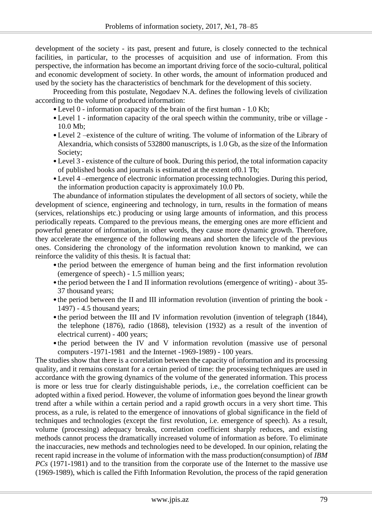development of the society - its past, present and future, is closely connected to the technical facilities, in particular, to the processes of acquisition and use of information. From this perspective, the information has become an important driving force of the socio-cultural, political and economic development of society. In other words, the amount of information produced and used by the society has the characteristics of benchmark for the development of this society.

Proceeding from this postulate, Negodaev N.A. defines the following levels of civilization according to the volume of produced information:

- •Level 0 information capacity of the brain of the first human 1.0 Kb;
- •Level 1 information capacity of the oral speech within the community, tribe or village 10.0 Mb;
- •Level 2 –existence of the culture of writing. The volume of information of the Library of Alexandria, which consists of 532800 manuscripts, is 1.0 Gb, as the size of the Information Society;
- •Level 3 existence of the culture of book. During this period, the total information capacity of published books and journals is estimated at the extent of0.1 Tb;
- •Level 4 –emergence of electronic information processing technologies. During this period, the information production capacity is approximately 10.0 Pb.

The abundance of information stipulates the development of all sectors of society, while the development of science, engineering and technology, in turn, results in the formation of means (services, relationships etc.) producing or using large amounts of information, and this process periodically repeats. Compared to the previous means, the emerging ones are more efficient and powerful generator of information, in other words, they cause more dynamic growth. Therefore, they accelerate the emergence of the following means and shorten the lifecycle of the previous ones. Considering the chronology of the information revolution known to mankind, we can reinforce the validity of this thesis. It is factual that:

- •the period between the emergence of human being and the first information revolution (emergence of speech) - 1.5 million years;
- the period between the I and II information revolutions (emergence of writing) about 35-37 thousand years;
- the period between the II and III information revolution (invention of printing the book -1497) - 4.5 thousand years;
- the period between the III and IV information revolution (invention of telegraph (1844), the telephone (1876), radio (1868), television (1932) as a result of the invention of electrical current) - 400 years;
- the period between the IV and V information revolution (massive use of personal computers -1971-1981 and the Internet -1969-1989) - 100 years.

The studies show that there is a correlation between the capacity of information and its processing quality, and it remains constant for a certain period of time: the processing techniques are used in accordance with the growing dynamics of the volume of the generated information. This process is more or less true for clearly distinguishable periods, i.e., the correlation coefficient can be adopted within a fixed period. However, the volume of information goes beyond the linear growth trend after a while within a certain period and a rapid growth occurs in a very short time. This process, as a rule, is related to the emergence of innovations of global significance in the field of techniques and technologies (except the first revolution, i.e. emergence of speech). As a result, volume (processing) adequacy breaks, correlation coefficient sharply reduces, and existing methods cannot process the dramatically increased volume of information as before. To eliminate the inaccuracies, new methods and technologies need to be developed. In our opinion, relating the recent rapid increase in the volume of information with the mass production(consumption) of *IBM PCs* (1971-1981) and to the transition from the corporate use of the Internet to the massive use (1969-1989), which is called the Fifth Information Revolution, the process of the rapid generation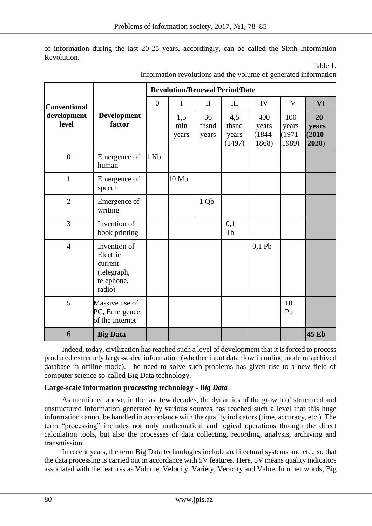of information during the last 20-25 years, accordingly, can be called the Sixth Information Revolution.

| <b>Conventional</b><br>development<br>level | <b>Development</b><br>factor                                               | <b>Revolution/Renewal Period/Date</b> |                     |                      |                                 |                                    |                                    |                                   |
|---------------------------------------------|----------------------------------------------------------------------------|---------------------------------------|---------------------|----------------------|---------------------------------|------------------------------------|------------------------------------|-----------------------------------|
|                                             |                                                                            | $\overline{0}$                        | I                   | $\mathbf{I}$         | III                             | IV                                 | V                                  | <b>VI</b>                         |
|                                             |                                                                            |                                       | 1,5<br>mln<br>years | 36<br>thsnd<br>years | 4,5<br>thsnd<br>years<br>(1497) | 400<br>years<br>$(1844 -$<br>1868) | 100<br>years<br>$(1971 -$<br>1989) | 20<br>years<br>$(2010 -$<br>2020) |
| $\boldsymbol{0}$                            | Emergence of<br>human                                                      | $1$ Kb                                |                     |                      |                                 |                                    |                                    |                                   |
| $\mathbf{1}$                                | Emergence of<br>speech                                                     |                                       | 10 Mb               |                      |                                 |                                    |                                    |                                   |
| $\overline{2}$                              | Emergence of<br>writing                                                    |                                       |                     | 1 Qb                 |                                 |                                    |                                    |                                   |
| $\overline{3}$                              | Invention of<br>book printing                                              |                                       |                     |                      | 0,1<br>Tb                       |                                    |                                    |                                   |
| $\overline{4}$                              | Invention of<br>Electric<br>current<br>(telegraph,<br>telephone,<br>radio) |                                       |                     |                      |                                 | $0,1$ Pb                           |                                    |                                   |
| 5                                           | Massive use of<br>PC, Emergence<br>of the Internet                         |                                       |                     |                      |                                 |                                    | 10<br>Pb                           |                                   |
| 6                                           | <b>Big Data</b>                                                            |                                       |                     |                      |                                 |                                    |                                    | <b>45 Eb</b>                      |

Information revolutions and the volume of generated information

Table 1.

Indeed, today, civilization has reached such a level of development that it is forced to process produced extremely large-scaled information (whether input data flow in online mode or archived database in offline mode). The need to solve such problems has given rise to a new field of computer science so-called Big Data technology.

## **Large-scale information processing technology -** *Big Data*

As mentioned above, in the last few decades, the dynamics of the growth of structured and unstructured information generated by various sources has reached such a level that this huge information cannot be handled in accordance with the quality indicators (time, accuracy, etc.). The term "processing" includes not only mathematical and logical operations through the direct calculation tools, but also the processes of data collecting, recording, analysis, archiving and transmission.

In recent years, the term Big Data technologies include architectural systems and etc., so that the data processing is carried out in accordance with 5V features. Here, 5V means quality indicators associated with the features as Volume, Velocity, Variety, Veracity and Value. In other words, Big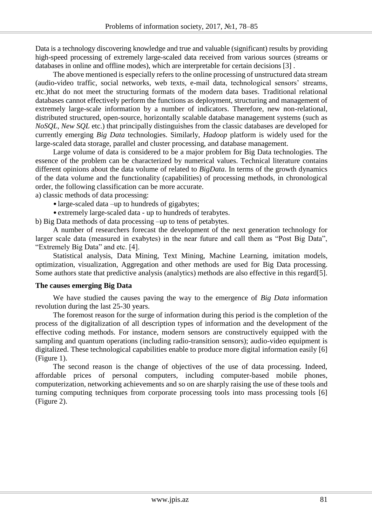Data is a technology discovering knowledge and true and valuable (significant) results by providing high-speed processing of extremely large-scaled data received from various sources (streams or databases in online and offline modes), which are interpretable for certain decisions [3] .

The above mentioned is especially refers to the online processing of unstructured data stream (audio-video traffic, social networks, web texts, e-mail data, technological sensors' streams, etc.)that do not meet the structuring formats of the modern data bases. Traditional relational databases cannot effectively perform the functions as deployment, structuring and management of extremely large-scale information by a number of indicators. Therefore, new non-relational, distributed structured, open-source, horizontally scalable database management systems (such as *NoSQL, New SQL* etc.) that principally distinguishes from the classic databases are developed for currently emerging *Big Data* technologies. Similarly, *Hadoop* platform is widely used for the large-scaled data storage, parallel and cluster processing, and database management.

Large volume of data is considered to be a major problem for Big Data technologies. The essence of the problem can be characterized by numerical values. Technical literature contains different opinions about the data volume of related to *BigData*. In terms of the growth dynamics of the data volume and the functionality (capabilities) of processing methods, in chronological order, the following classification can be more accurate.

a) classic methods of data processing:

- large-scaled data –up to hundreds of gigabytes;
- extremely large-scaled data up to hundreds of terabytes.

b) Big Data methods of data processing –up to tens of petabytes.

A number of researchers forecast the development of the next generation technology for larger scale data (measured in exabytes) in the near future and call them as "Post Big Data", "Extremely Big Data" and etc. [4].

Statistical analysis, Data Mining, Text Mining, Machine Learning, imitation models, optimization, visualization, Aggregation and other methods are used for Big Data processing. Some authors state that predictive analysis (analytics) methods are also effective in this regard[5].

#### **The causes emerging Big Data**

We have studied the causes paving the way to the emergence of *Big Data* information revolution during the last 25-30 years.

The foremost reason for the surge of information during this period is the completion of the process of the digitalization of all description types of information and the development of the effective coding methods. For instance, modern sensors are constructively equipped with the sampling and quantum operations (including radio-transition sensors); audio-video equipment is digitalized. These technological capabilities enable to produce more digital information easily [6] (Figure 1).

The second reason is the change of objectives of the use of data processing. Indeed, affordable prices of personal computers, including computer-based mobile phones, computerization, networking achievements and so on are sharply raising the use of these tools and turning computing techniques from corporate processing tools into mass processing tools [6] (Figure 2).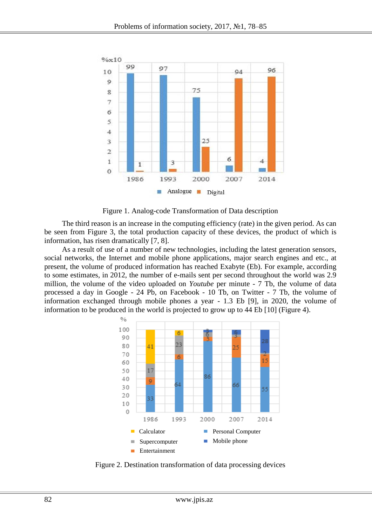

Figure 1. Analog-code Transformation of Data description

The third reason is an increase in the computing efficiency (rate) in the given period. As can be seen from Figure 3, the total production capacity of these devices, the product of which is information, has risen dramatically [7, 8].

As a result of use of a number of new technologies, including the latest generation sensors, social networks, the Internet and mobile phone applications, major search engines and etc., at present, the volume of produced information has reached Exabyte (Eb). For example, according to some estimates, in 2012, the number of e-mails sent per second throughout the world was 2.9 million, the volume of the video uploaded on *Youtube* per minute - 7 Tb, the volume of data processed a day in Google - 24 Pb, on Facebook - 10 Tb, on Twitter - 7 Tb, the volume of information exchanged through mobile phones a year - 1.3 Eb [9], in 2020, the volume of information to be produced in the world is projected to grow up to 44 Eb [10] (Figure 4).



Figure 2. Destination transformation of data processing devices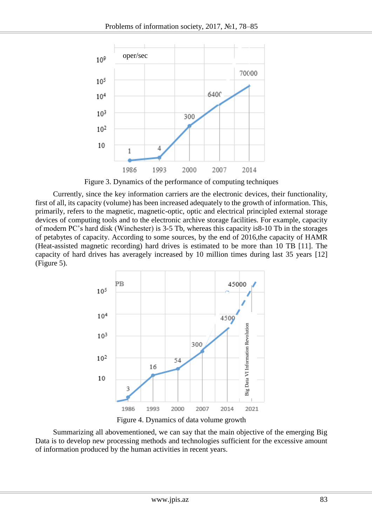

Figure 3. Dynamics of the performance of computing techniques

Currently, since the key information carriers are the electronic devices, their functionality, first of all, its capacity (volume) has been increased adequately to the growth of information. This, primarily, refers to the magnetic, magnetic-optic, optic and electrical principled external storage devices of computing tools and to the electronic archive storage facilities. For example, capacity of modern PC's hard disk (Winchester) is 3-5 Tb, whereas this capacity is8-10 Tb in the storages of petabytes of capacity. According to some sources, by the end of 2016,the capacity of HAMR (Heat-assisted magnetic recording) hard drives is estimated to be more than 10 TB [11]. The capacity of hard drives has averagely increased by 10 million times during last 35 years [12] (Figure 5).



Figure 4. Dynamics of data volume growth

Summarizing all abovementioned, we can say that the main objective of the emerging Big Data is to develop new processing methods and technologies sufficient for the excessive amount of information produced by the human activities in recent years.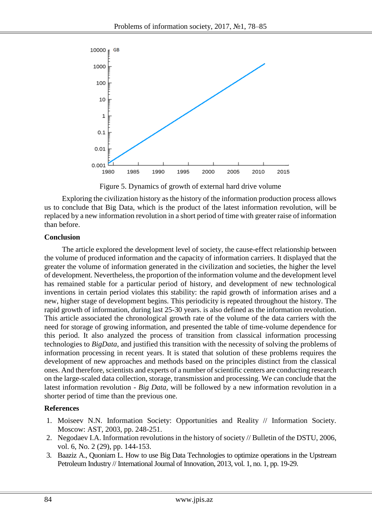

Figure 5. Dynamics of growth of external hard drive volume

Exploring the civilization history as the history of the information production process allows us to conclude that Big Data, which is the product of the latest information revolution, will be replaced by a new information revolution in a short period of time with greater raise of information than before.

## **Conclusion**

The article explored the development level of society, the cause-effect relationship between the volume of produced information and the capacity of information carriers. It displayed that the greater the volume of information generated in the civilization and societies, the higher the level of development. Nevertheless, the proportion of the information volume and the development level has remained stable for a particular period of history, and development of new technological inventions in certain period violates this stability: the rapid growth of information arises and a new, higher stage of development begins. This periodicity is repeated throughout the history. The rapid growth of information, during last 25-30 years. is also defined as the information revolution. This article associated the chronological growth rate of the volume of the data carriers with the need for storage of growing information, and presented the table of time-volume dependence for this period. It also analyzed the process of transition from classical information processing technologies to *BigData*, and justified this transition with the necessity of solving the problems of information processing in recent years. It is stated that solution of these problems requires the development of new approaches and methods based on the principles distinct from the classical ones. And therefore, scientists and experts of a number of scientific centers are conducting research on the large-scaled data collection, storage, transmission and processing. We can conclude that the latest information revolution - *Big Data,* will be followed by a new information revolution in a shorter period of time than the previous one.

## **References**

- 1. Moiseev N.N. Information Society: Opportunities and Reality // Information Society. Moscow: AST, 2003, pp. 248-251.
- 2. Negodaev I.A. Information revolutions in the history of society // Bulletin of the DSTU, 2006, vol. 6, No. 2 (29), pp. 144-153.
- 3. Baaziz A., Quoniam L. How to use Big Data Technologies to optimize operations in the Upstream Petroleum Industry // International Journal of Innovation, 2013, vol. 1, no. 1, pp. 19-29.